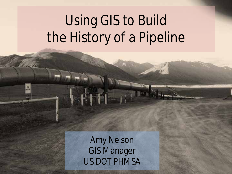# Using GIS to Build the History of a Pipeline

Amy Nelson GIS Manager US DOT PHMSA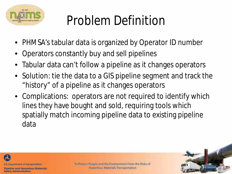

## Problem Definition

- PHMSA's tabular data is organized by Operator ID number
- Operators constantly buy and sell pipelines
- Tabular data can't follow a pipeline as it changes operators
- Solution: tie the data to a GIS pipeline segment and track the "history" of a pipeline as it changes operators
- Complications: operators are not required to identify which lines they have bought and sold, requiring tools which spatially match incoming pipeline data to existing pipeline data



Pipeline and Hazardous Materials **Safety Administration**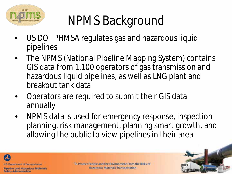

# NPMS Background

- US DOT PHMSA regulates gas and hazardous liquid pipelines
- The NPMS (National Pipeline Mapping System) contains GIS data from 1,100 operators of gas transmission and hazardous liquid pipelines, as well as LNG plant and breakout tank data
- Operators are required to submit their GIS data annually
- NPMS data is used for emergency response, inspection planning, risk management, planning smart growth, and allowing the public to view pipelines in their area



Pipeline and Hazardous Materials **Safety Administration**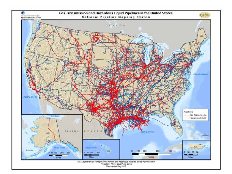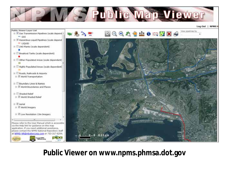

**Public Viewer on www.npms.phmsa.dot.gov**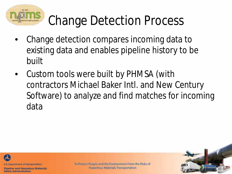

## Change Detection Process

- Change detection compares incoming data to existing data and enables pipeline history to be built
- Custom tools were built by PHMSA (with contractors Michael Baker Intl. and New Century Software) to analyze and find matches for incoming data



Pipeline and Hazardous Materials **Safety Administration**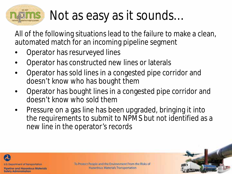## Not as easy as it sounds…

All of the following situations lead to the failure to make a clean, automated match for an incoming pipeline segment

- Operator has resurveyed lines
- Operator has constructed new lines or laterals
- Operator has sold lines in a congested pipe corridor and doesn't know who has bought them
- Operator has bought lines in a congested pipe corridor and doesn't know who sold them
- Pressure on a gas line has been upgraded, bringing it into the requirements to submit to NPMS but not identified as a new line in the operator's records



Pipeline and Hazardous Materials **Safety Administration**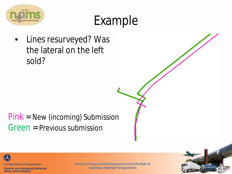

### Example

• Lines resurveyed? Was the lateral on the left sold?

### Pink = New (incoming) Submission Green = Previous submission



Pipeline and Hazardous Materials **Safety Administration**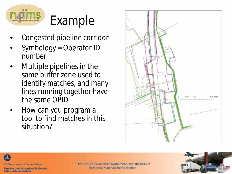

### Example

- Congested pipeline corridor
- Symbology = Operator ID number
- Multiple pipelines in the same buffer zone used to identify matches, and many lines running together have the same OPID
- How can you program a tool to find matches in this situation?





Pipeline and Hazardous Materials **Safety Administration** 

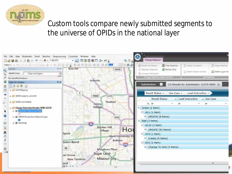

#### Custom tools compare newly submitted segments to the universe of OPIDs in the national layer

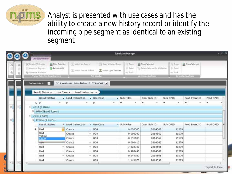

Analyst is presented with use cases and has the ability to create a new history record or identify the incoming pipe segment as identical to an existing segment

|   |   | $ \mathbb{R}$ $X$<br><b>Submission Manager</b><br>Change Detection                                                          |                                                                       |    |                                                |                                                                                                |                                                                       |                                     |                                                                                           |                                                |                                            |                        |  |  |
|---|---|-----------------------------------------------------------------------------------------------------------------------------|-----------------------------------------------------------------------|----|------------------------------------------------|------------------------------------------------------------------------------------------------|-----------------------------------------------------------------------|-------------------------------------|-------------------------------------------------------------------------------------------|------------------------------------------------|--------------------------------------------|------------------------|--|--|
|   | ŵ | C Deiche CO Results<br>Abundon Segment<br>66 Compare Attributes                                                             | Filter Selection<br>C Refresh Grid<br>Change Detection Report Actions |    | . Maluh Via Search<br>"I" Match Festure to Row |                                                                                                | 1 - Swap Matched Rover<br>Match Layer Features<br><b>Edit Malches</b> | <b>K</b> Zoom<br>P Seet<br>op Flash | Show Selected<br><sup>Co</sup> Delete Selected for CD Reflum<br><b>Submitted Art Tool</b> | $\frac{1}{2}$ Zoom<br>$P$ Select<br>ein. Flash | Show Selected<br><b>Troduction ArcToun</b> |                        |  |  |
|   |   | CD Results for Submission: 31579-0009  x<br><b>Submissions</b><br>35<br>Result Status .<br>Load Instruction .<br>Use Case + |                                                                       |    |                                                |                                                                                                |                                                                       |                                     |                                                                                           |                                                |                                            |                        |  |  |
|   |   |                                                                                                                             | <b>Result Status</b>                                                  |    | - Load Instruction                             |                                                                                                | - Use Case                                                            | - Sub Miles                         | Oper Sub ID                                                                               | Sub OPID                                       | Prod Event ID                              | Prod OPID              |  |  |
|   |   |                                                                                                                             | T. 84                                                                 |    | $\Delta r$<br>۰                                |                                                                                                | 丛                                                                     | ▦                                   | m                                                                                         | ٠                                              | ш                                          | ٠                      |  |  |
| 圓 |   | $UCIO(1$ item)<br>B1<br>8 UPDATE (93 items)<br>s<br>UC4 (1 item)<br>El Create (9 items)                                     |                                                                       |    |                                                |                                                                                                |                                                                       |                                     |                                                                                           |                                                |                                            |                        |  |  |
|   |   |                                                                                                                             | <b>Result Status</b>                                                  |    | Load Instruction                               |                                                                                                | + Use Case                                                            | - Sub Miles                         | Oper Sub ID                                                                               | Sub OPID                                       | Prod Event ID                              | Prod OPID              |  |  |
|   |   | ٠                                                                                                                           | Red                                                                   |    | Create                                         | $\tau$                                                                                         | UC4                                                                   | 0.030560                            | 2814562                                                                                   | 31579                                          |                                            |                        |  |  |
|   |   |                                                                                                                             | Red<br>Yellow                                                         |    | Create                                         | ٠                                                                                              | UC4                                                                   | 0.000340                            | 2814563                                                                                   | 31579                                          |                                            |                        |  |  |
|   |   |                                                                                                                             | Green                                                                 |    | Create                                         |                                                                                                | UC4                                                                   | 0.131180                            | 2814564                                                                                   | 31579                                          |                                            |                        |  |  |
|   |   |                                                                                                                             | 15557                                                                 |    | Create                                         | $\frac{1}{2} \left( \frac{1}{2} \right) \left( \frac{1}{2} \right) \left( \frac{1}{2} \right)$ | UC4                                                                   | 0.000410                            | 2814565                                                                                   | 31579                                          |                                            |                        |  |  |
|   |   |                                                                                                                             | Red                                                                   |    | Create                                         |                                                                                                | UC4                                                                   | 7.638750                            | 2814566                                                                                   | 31579                                          |                                            |                        |  |  |
|   |   |                                                                                                                             | Red                                                                   |    | Create                                         |                                                                                                | UC4                                                                   | 0.988490                            | 2814567                                                                                   | 31579                                          |                                            |                        |  |  |
|   |   |                                                                                                                             | Red                                                                   |    | Create                                         | ×.                                                                                             | UC4                                                                   | 0.544980                            | 2814595                                                                                   | 31579                                          |                                            |                        |  |  |
|   |   |                                                                                                                             | Red                                                                   | w. | Create                                         | $\sim$ 1                                                                                       | UC4                                                                   | 1.143670                            | 2814599                                                                                   | 31579                                          |                                            |                        |  |  |
|   |   |                                                                                                                             |                                                                       |    |                                                |                                                                                                | ш                                                                     |                                     |                                                                                           |                                                |                                            | <b>Export to Excel</b> |  |  |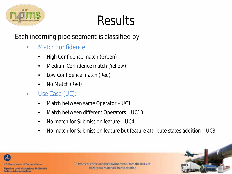

## Results

Each incoming pipe segment is classified by:

- Match confidence:
	- High Confidence match (Green)
	- Medium Confidence match (Yellow)
	- Low Confidence match (Red)
	- No Match (Red)
- Use Case (UC):
	- Match between same Operator UC1
	- Match between different Operators UC10
	- No match for Submission feature UC4
	- No match for Submission feature but feature attribute states addition UC3



Pipeline and Hazardous Materials **Safety Administration**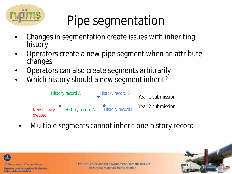

# Pipe segmentation

- Changes in segmentation create issues with inheriting history
- Operators create a new pipe segment when an attribute changes
- Operators can also create segments arbitrarily
- Which history should a new segment inherit?



Multiple segments cannot inherit one history record



Pipeline and Hazardous Materials **Safety Administration** 

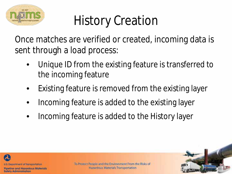

# History Creation

Once matches are verified or created, incoming data is sent through a load process:

- Unique ID from the existing feature is transferred to the incoming feature
- Existing feature is removed from the existing layer
- Incoming feature is added to the existing layer
- Incoming feature is added to the History layer



Pipeline and Hazardous Materials **Safety Administration**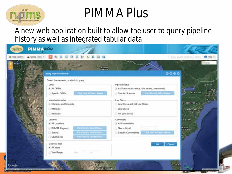

### PIMMA Plus

A new web application built to allow the user to query pipeline history as well as integrated tabular data

| & Map Layers & Query Tools = | $0 \triangle 0$<br>NONTH                                                                                                                                                                  |                                                                                                                               | $Q$ Help $-$<br>Exter page bombar 4 charge<br>Map |
|------------------------------|-------------------------------------------------------------------------------------------------------------------------------------------------------------------------------------------|-------------------------------------------------------------------------------------------------------------------------------|---------------------------------------------------|
| <b>WASHINGTON</b>            | Query Pipeline History<br>Select the elements on which to query.<br>OPID-                                                                                                                 |                                                                                                                               | 0000                                              |
| <b><i>DRECON</i></b>         | · All OPIDs<br><b>Cack Here to Sale of Vincent</b><br>Specific OPIDs                                                                                                                      | Pipeline Status<br>· All Statuses (in service, idle, retired, abandoned)<br>Clerk Hirre M. Soleet Vancey<br>Specific Statuses | VERMONT<br><b>NEW</b><br>NEW YORK<br>MASSACHUS    |
|                              | Interstate/Intrastate<br>· Interstate and Intrastate<br>Interstate<br>Intrastate                                                                                                          | Low Stress<br>. Low Stress and Not Low Stress<br>Low Stress<br>Not Low Stress                                                 | GT RI<br>PENNSYLVANIA<br>MARYLAND N               |
| <b>BALLORNIA</b>             | Location<br>· All Locations<br><b>Click Here to Senior Wilson</b><br>PHMSA Region(s)<br><b>Click Here to Select Villare</b><br>State(s)<br><b>Cash Hely to Sames Union</b><br>County(les) | Commodity<br>· All Commodities<br>Gas or Liquid<br>$\sim$<br><b>CACA Immuno Solocciviliana</b><br>Specific Commodities        | <b>VIRGINIA</b><br>NORTH<br>NA.                   |
|                              | Calendar Year<br>+ All Years<br>Year Range<br>$-1.840$<br>Serre.                                                                                                                          | <b>OK</b>                                                                                                                     | Cancel                                            |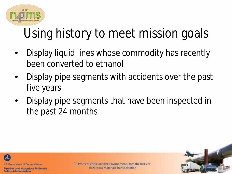

# Using history to meet mission goals

- Display liquid lines whose commodity has recently been converted to ethanol
- Display pipe segments with accidents over the past five years
- Display pipe segments that have been inspected in the past 24 months



Pipeline and Hazardous Materials **Safety Administration**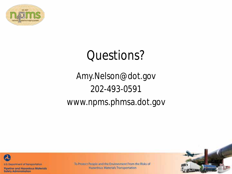

### Questions?

### Amy.Nelson@dot.gov 202-493-0591 www.npms.phmsa.dot.gov



Pipeline and Hazardous Materials **Safety Administration**